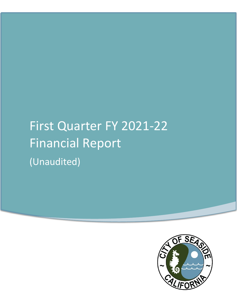# First Quarter FY 2021-22 Financial Report (Unaudited)

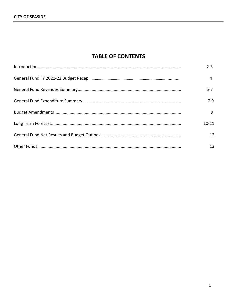## **TABLE OF CONTENTS**

| $2 - 3$   |
|-----------|
| 4         |
| $5 - 7$   |
| 7-9       |
| q         |
| $10 - 11$ |
| 12        |
| 13        |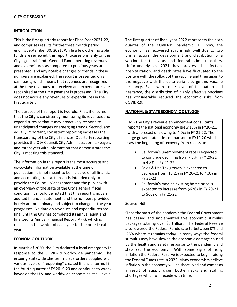#### **INTRODUCTION**

This is the first quarterly report for Fiscal Year 2021-22, and comprises results for the three month period ending September 30, 2021. While a few other notable funds are reviewed, this report focuses primarily on the City's general fund. General Fund operating revenues and expenditures as compared to previous years are presented, and any notable changes or trends in these numbers are explained. The report is presented on a cash basis, which means that revenues are recognized at the time revenues are received and expenditures are recognized at the time payment is processed. The City does not accrue any revenues or expenditures in the first quarter.

The purpose of this report is twofold. First, it ensures that the City is consistently monitoring its revenues and expenditures so that it may proactively respond to unanticipated changes or emerging trends. Second, and equally important, consistent reporting increases the transparency of the City's finances. Quarterly reporting provides the City Council, City Administration, taxpayers and ratepayers with information that demonstrates the City is meeting this standard.

The information in this report is the most accurate and up-to-date information available at the time of publication. It is not meant to be inclusive of all financial and accounting transactions. It is intended only to provide the Council, Management and the public with an overview of the state of the City's general fiscal condition. It should be noted that this report is not an audited financial statement, and the numbers provided herein are preliminary and subject to change as the year progresses. No data on revenues and expenditures are final until the City has completed its annual audit and finalized its Annual Financial Report (AFR), which is released in the winter of each year for the prior fiscal year

#### **ECONOMIC OUTLOOK**

In March of 2020, the City declared a local emergency in response to the COVID-19 worldwide pandemic. The ensuing statewide shelter in place orders coupled with various levels of "reopening" created financial turmoil in the fourth quarter of FY 2019-20 and continues to wreak havoc on the U.S. and worldwide economies at all levels.

The first quarter of fiscal year 2022 represents the sixth quarter of the COVID-19 pandemic. Till now, the economy has recovered surprisingly well due to two prime factors; the development and distribution of a vaccine for the virus and federal stimulus dollars. Unfortunately as 2021 has progressed, infection, hospitalization, and death rates have fluctuated to the positive with the rollout of the vaccine and then again to the negative with the delta variant surge and vaccine hesitancy. Even with some level of fluctuation and hesitancy, the distribution of highly effective vaccines has considerably reduced the economic risks from COVID-19.

#### **NATIONAL & STATE ECONOMIC OUTLOOK**

Hdl (The City's revenue enhancement consultant) reports the national economy grew 13% in FY20-21, with a forecast of slowing to 4.0% in FY 21-22. The large growth rate is in comparison to FY19-20 which saw the beginning of recovery from recession.

- California's unemployment rate is expected to continue declining from 7.6% in FY 20-21 to 4.8% in FY 21-22
- Sales & Use Tax growth is expected to decrease from 10.2% in FY 20-21 to 4.0% in FY 21-22
- California's median existing home price is expected to increase from \$626k in FY 20-21 to \$669k in FY 21-22

#### Source: Hdl

Since the start of the pandemic the Federal Government has passed and implemented five economic stimulus packages totaling over \$5 trillion. The Federal Reserve also lowered the Federal Funds rate to between 0% and .25% where it remains today. In many ways the federal stimulus may have slowed the economic damage caused by the health and safety response to the pandemic and stabilized the economy. With some signs of rising inflation the Federal Reserve is expected to begin raising the Federal Funds rate in 2022. Many economists believe inflation in the economy will be short lived and comes as a result of supply chain bottle necks and staffing shortages which will recede with time.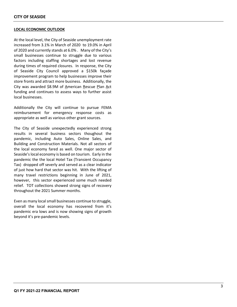#### **LOCAL ECONOMIC OUTLOOK**

At the local level, the City of Seaside unemployment rate increased from 3.1% in March of 2020 to 19.0% in April of 2020 and currently stands at 6.0% . Many of the City's small businesses continue to struggle due to various factors including staffing shortages and lost revenue during times of required closures. In response, the City of Seaside City Council approved a \$150k façade improvement program to help businesses improve their store fronts and attract more business. Additionally, the City was awarded \$8.9M of American Rescue Plan Act funding and continues to assess ways to further assist local businesses.

Additionally the City will continue to pursue FEMA reimbursement for emergency response costs as appropriate as well as various other grant sources.

The City of Seaside unexpectedly experienced strong results in several business sectors thoughout the pandemic, including Auto Sales, Online Sales, and Building and Construction Materials. Not all sectors of the local economy fared as well. One major sector of Seaside's local economy is based on tourism. Early in the pandemic the the local Hotel Tax (Transient Occupancy Tax) dropped off severly and served as a clear indicator of just how hard that sector was hit. With the lifting of many travel restrictions beginning in June of 2021, however, this sector experienced some much needed relief. TOT collections showed strong signs of recovery throughout the 2021 Summer months.

Even as many local small businesses continue to struggle, overall the local economy has recovered from it's pandemic era lows and is now showing signs of growth beyond it's pre-pandemic levels.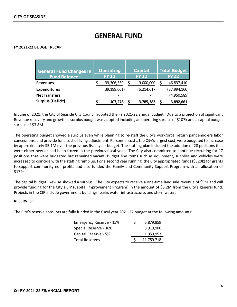## **GENERAL FUND**

#### **FY 2021-22 BUDGET RECAP**:

| <b>General Fund Changes in</b><br><b>Fund Balance:</b> | <b>Operating</b><br><b>FY22</b> | <b>Capital</b><br><b>FY22</b> | <b>Total Budget</b><br><b>FY22</b> |
|--------------------------------------------------------|---------------------------------|-------------------------------|------------------------------------|
| <b>Revenues</b>                                        | 39,306,339                      | 9,000,000                     | 46,837,410                         |
| <b>Expenditures</b>                                    | (39, 199, 061)                  | (5, 214, 617)                 | (37, 994, 160)                     |
| <b>Net Transfers</b>                                   |                                 |                               | (4,950,589)                        |
| <b>Surplus (Deficit)</b>                               | 107,278                         | 3,785,383                     | 3,892,661                          |

In June of 2021, the City of Seaside City Council adopted the FY 2021-22 annual budget. Due to a projection of significant Revenue recovery and growth, a surplus budget was adopted including an operating surplus of \$107k and a capital budget surplus of \$3.8M.

The operating budget showed a surplus even while planning to re-staff the City's workforce, return pandemic era labor concessions, and provide for a cost of living adjustment. Personnel costs, the City's largest cost, were budgeted to increase by approximately \$5.1M over the previous fiscal year budget. The staffing plan included the addition of 28 positions that were either new or had been frozen in the previous fiscal year. The City also committed to continue recruiting for 17 positions that were budgeted but remained vacant. Budget line items such as equipment, supplies and vehicles were increased to coincide with the staffing ramp up. For a second year running, the City appropriated funds (\$320k) for grants to support community non-profits and also funded the Family and Community Support Program with an allocation of \$179k.

The capital budget likewise showed a surplus. The City expects to receive a one-time land sale revenue of \$9M and will provide funding for the City's CIP (Capital Improvement Program) in the amount of \$5.2M from the City's general fund. Projects in the CIP include government buildings, parks water infrastructure, and stormwater.

#### **RESERVES:**

The City's reserve accounts are fully funded in the fiscal year 2021-22 budget at the following amounts:

| Emergency Reserve - 15% | S | 5,879,859  |
|-------------------------|---|------------|
| Special Reserve - 10%   |   | 3,919,906  |
| Capital Reserve - 5%    |   | 1,959,953  |
| Total Reserves          |   | 11,759,718 |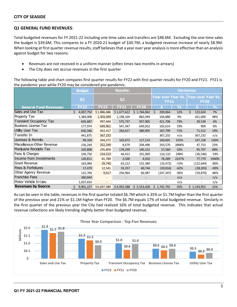#### **Q1 GENERAL FUND REVENUES**:

Total budgeted revenues for FY 2021-22 including one-time sales and transfers are \$48.6M. Excluding the one-time sales the budget is \$39.6M. This compares to a FY 2020-21 budget of \$30.7M; a budgeted revenue increase of nearly \$8.9M. When looking at first quarter revenue results, staff believes that a year over year analysis is more effective than an analysis against budget for two reasons:

- Revenues are not received in a uniform manner (often times two months in arrears)
- The City does not accrue revenues in the first quarter

The following table and chart compares first quarter results for FY22 with first quarter results for FY20 and FY21. FY21 is the pandemic year while FY20 may be considered pre-pandemic.

|                                | <b>Budget</b>   |             | <b>Results:</b>          |                          |                                   |               | <b>Variances:</b>                 |               |
|--------------------------------|-----------------|-------------|--------------------------|--------------------------|-----------------------------------|---------------|-----------------------------------|---------------|
|                                | Q <sub>1</sub>  |             | Q1                       |                          | Year over Year Vs.<br><b>FY21</b> |               | Year over Year Vs.<br><b>FY20</b> |               |
| <b>General Fund Revenues:</b>  | <b>FY22</b>     | <b>FY22</b> | <b>FY21</b>              | <b>FY20</b>              |                                   | $\frac{9}{6}$ |                                   | $\frac{9}{6}$ |
| Sales and Use Tax              | Ś.<br>4,007,792 | \$1,886,686 | \$1,677,622              | \$1,764,062              | Ś.<br>209,064                     | 12%           | Ś.<br>122,624                     | 7%            |
| Property Tax                   | 1,384,008       | 1,303,049   | 1,198,169                | 882,049                  | 104,880                           | 9%            | 421,000                           | 48%           |
| <b>Transient Occupancy Tax</b> | 645,687         | 997,444     | 575,737                  | 957,905                  | 421,706                           | 73%           | 39,539                            | 4%            |
| <b>Business License Tax</b>    | 177,974         | 649,961     | 547,347                  | 649,052                  | 102,614                           | 19%           | 909                               | 0%            |
| Utility User Tax               | 650,346         | 452,417     | 264,617                  | 380,905                  | 187,799                           | 71%           | 71,512                            | 19%           |
| Transfer In                    | 441,875         | 367,232     |                          | $\overline{\phantom{a}}$ | 367,232                           | n/a           | 367,232                           | n/a           |
| Licenses & Permits             | 99,104          | 264,272     | 103,672                  | 117,114                  | 160,601                           | 155%          | 147,158                           | 126%          |
| Miscellanous-Other Revenue     | 156,244         | 252,249     | 8,679                    | 204,496                  | 243,570                           | 2806%         | 47,753                            | 23%           |
| Marijuana Receipts Tax         | 320,808         | 235,859     | 178,299                  | 140,152                  | 57,560                            | 32%           | 95,707                            | 68%           |
| Fees & Charges                 | 194,750         | 154,523     | 44,413                   | 191,069                  | 110,110                           | 248%          | (36, 546)                         | $-19%$        |
| Income from Investments        | 120,811         | 81,789      | 3,500                    | 4,010                    | 78,289                            | 2237%         | 77,779                            | 1940%         |
| Grant Revenue                  | 163,084         | 29,740      | 63,212                   | 152,384                  | (33, 472)                         | -53%          | (122, 644)                        | $-80%$        |
| <b>Fines &amp; Forfeitures</b> | 17,479          | 12,541      | 33,357                   | 40,744                   | (20, 816)                         | $-62%$        | (28, 203)                         | $-69%$        |
| Other Agency Revenue           | 122,769         | 9,617       | 256,964                  | 69,487                   | (247, 347)                        | -96%          | (59, 870)                         | -86%          |
| <b>Franchise Fees</b>          | 360,844         |             | $\overline{\phantom{a}}$ |                          | -                                 | n/a           | $\overline{\phantom{a}}$          | n/a           |
| Motor Vehicle In-Lieu          | 1,037,654       |             |                          |                          | $\overline{\phantom{0}}$          | n/a           | $\overline{\phantom{a}}$          | n/a           |
| <b>Revenues by Source</b>      | 9,901,227       | \$6,697,380 | \$4,955,588              | \$5,553,428              | \$1,741,791                       | 35%           | \$1,143,951                       | 21%           |

As can be seen in the table, revenues in the first quarter totaled \$6.7M which is 35% or \$1.7M higher than the first quarter of the previous year and 21% or \$1.1M higher than FY20. The \$6.7M equals 17% of total budgeted revenue. Similarly in the first quarter of the previous year the City had realized 16% of total budgeted revenue. This indicates that actual revenue collections are likely trending slightly better than budgeted revenue.

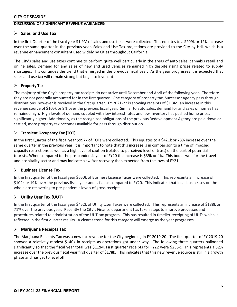#### **DISCUSSION OF SIGNIFICANT REVENUE VARIANCES**:

#### **Sales and Use Tax**

In the first Quarter of the fiscal year \$1.9M of sales and use taxes were collected. This equates to a \$209k or 12% increase over the same quarter in the previous year. Sales and Use Tax projections are provided to the City by Hdl, which is a revenue enhancement consultant used widely by Cities throughout California.

The City's sales and use taxes continue to perform quite well particularly in the areas of auto sales, cannabis retail and online sales. Demand for and sales of new and used vehicles remained high despite rising prices related to supply shortages. This continues the trend that emerged in the previous fiscal year. As the year progresses it is expected that sales and use tax will remain strong but begin to level out.

#### **Property Tax**

The majority of the City's property tax receipts do not arrive until December and April of the following year. Therefore they are not generally accounted for in the first quarter. One category of property tax, Successor Agency pass through distributions, however is received in the first quarter. FY 2021-22 is showing receipts of \$1.3M, an increase in this revenue source of \$105k or 9% over the previous fiscal year. Similar to auto sales, demand for and sales of homes has remained high. High levels of demand coupled with low interest rates and low inventory has pushed home prices significantly higher. Additionally, as the recognized obligations of the previous Redevelopment Agency are paid down or settled, more property tax becomes available for pass through distribution.

#### **Transient Occupancy Tax (TOT)**

In the first Quarter of the fiscal year \$997k of TOTs were collected. This equates to a \$421k or 73% increase over the same quarter in the previous year. It is important to note that this increase is in comparison to a time of imposed capacity restrictions as well as a high level of caution (related to perceived level of trust) on the part of potential tourists. When compared to the pre-pandemic year of FY20 the increase is \$39k or 4%. This bodes well for the travel and hospitality sector and may indicate a swifter recovery than expected from the lows of FY21.

#### **Business License Tax**

In the first quarter of the fiscal year \$650k of Business License Taxes were collected. This represents an increase of \$102k or 19% over the previous fiscal year and is flat as compared to FY20. This indicates that local businesses on the whole are recovering to pre-pandemic levels of gross receipts.

#### **Utility User Tax (UUT)**

In the first quarter of the fiscal year \$452k of Utility User Taxes were collected. This represents an increase of \$188k or 71% over the previous year. Recently the City's Finance department has taken steps to improve processes and procedures related to administration of the UUT tax program. This has resulted in timelier receipting of UUTs which is reflected in the first quarter results. A clearer trend for this category will emerge as the year progresses.

#### **Marijuana Receipts Tax**

The Marijuana Receipts Tax was a new tax revenue for the City beginning in FY 2019-20. The first quarter of FY 2019-20 showed a relatively modest \$140k in receipts as operations got under way. The following three quarters ballooned significantly so that the fiscal year total was \$1.2M. First quarter receipts for FY22 were \$235k. This represents a 32% increase over the previous fiscal year first quarter of \$178k. This indicates that this new revenue source is still in a growth phase and has yet to level off.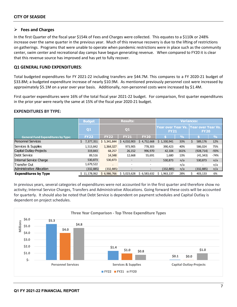#### **Fees and Charges**

In the first Quarter of the fiscal year \$154k of Fees and Charges were collected. This equates to a \$110k or 248% increase over the same quarter in the previous year. Much of this revenue recovery is due to the lifting of restrictions on gatherings. Programs that were unable to operate when pandemic restrictions were in place such as the community center, swim center and recreational day camps have begun generating revenue. When compared to FY20 it is clear that this revenue source has improved and has yet to fully recover.

#### **Q1 GENERAL FUND EXPENDITURES**:

Total budgeted expenditures for FY 2021-22 including transfers are \$44.7M. This compares to a FY 2020-21 budget of \$33.8M; a budgeted expenditure increase of nearly \$10.9M. As mentioned previously personnel cost were increased by approximately \$5.1M on a year over year basis. Additionally, non-personnel costs were increased by \$1.4M.

First quarter expenditures were 16% of the total fiscal year 2021-22 budget. For comparison, first quarter expenditures in the prior year were nearly the same at 15% of the fiscal year 2020-21 budget.

#### **EXPENDITURES BY TYPE:**

|                                           | <b>Budget</b> |             | <b>Results:</b> |                 |                                          |               |                                     |               |
|-------------------------------------------|---------------|-------------|-----------------|-----------------|------------------------------------------|---------------|-------------------------------------|---------------|
|                                           | Q1            |             | Q <sub>1</sub>  |                 | <b>Year over Year Vs.</b><br><b>FY21</b> |               | Year over Year Vs.  <br><b>FY20</b> |               |
| <b>General Fund Expenditures by Type:</b> | <b>FY22</b>   | <b>FY22</b> | <b>FY21</b>     | <b>FY20</b>     |                                          | $\frac{0}{0}$ |                                     | $\frac{9}{6}$ |
| <b>Personnel Services</b>                 | 7,377,351     | \$5,341,844 | \$4,010,903     | 4,752,668<br>S. | \$1,330,941                              | 33%           | 589,176                             | 12%           |
| Services & Supplies                       | 1,513,842     | 1,364,327   | 973,905         | 778.303         | 390,423                                  | 40%           | 586.024                             | 75%           |
| Capital Outlay-Projects                   | 319,843       | 68,257      | 26,152          | 996,970         | 42,104                                   | 161%          | (928, 714)                          | $-93%$        |
| Debt Service                              | 89,516        | 14,348      | 12,668          | 55,691          | 1,680                                    | 13%           | (41, 343)                           | $-74%$        |
| Internal Service Charge                   | 530,873       | 530,873     |                 |                 | 530,873                                  | n/a           | 530,873                             | n/a           |
| lTransfer Out                             | 1,679,522     |             | ٠               |                 | $\overline{\phantom{0}}$                 | n/a           |                                     | n/a           |
| Administrative Allocation                 | (332, 885)    | (332, 885)  |                 | $\qquad \qquad$ | (332, 885)                               | n/a           | (332, 885)                          | n/a           |
| <b>Expenditures by Type</b>               | \$11.178.062  | \$6.986.766 | \$5,023,628     | \$6,583,632     | 1,963,137<br>S                           | 28%           | 403,133                             | 6%            |

In previous years, several categories of expenditures were not accounted for in the first quarter and therefore show no activity; Internal Service Charges, Transfers and Administrative Allocations. Going forward these costs will be accounted for quarterly. It should also be noted that Debt Service is dependent on payment schedules and Capital Outlay is dependent on project schedules.

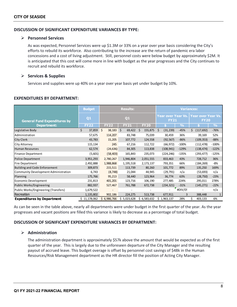#### **DISCUSSION OF SIGNIFICANT EXPENDITURE VARIANCES BY TYPE:**

#### **Personnel Services**

As was expected, Personnel Services were up \$1.3M or 33% on a year over year basis considering the City's efforts to rebuild its workforce. Also contributing to the increase are the return of pandemic era labor concessions and a cost of living adjustment. Still, personnel costs were below budget by approximately \$2M. It is anticipated that this cost will come more in line with budget as the year progresses and the City continues to recruit and rebuild its workforce.

#### **Services & Supplies**

Services and supplies were up 40% on a year over year basis yet under budget by 10%.

#### **EXPENDITURES BY DEPARTMENT:**

|                                      | <b>Budget</b>  |              | <b>Results:</b> |               | <b>Variances:</b> |                          |                                                          |               |
|--------------------------------------|----------------|--------------|-----------------|---------------|-------------------|--------------------------|----------------------------------------------------------|---------------|
| <b>General Fund Expenditures by</b>  | Q <sub>1</sub> | Q1           |                 |               | <b>FY21</b>       |                          | Year over Year Vs.   Year over Year Vs.  <br><b>FY20</b> |               |
| Department:                          | <b>FY22</b>    | <b>FY22</b>  | <b>FY21</b>     | <b>FY20</b>   |                   | $\overline{\mathcal{A}}$ |                                                          | $\frac{0}{0}$ |
| Legislative Body                     | \$<br>37,859   | \$<br>38,183 | \$<br>69,422    | 155,875<br>Ś. | - \$<br>(31, 239) | $-45%$                   | Ś<br>(117, 692)                                          | $-76%$        |
| Administration                       | 57,675         | 114,207      | 83,748          | 75,039        | 30,459            | 36%                      | 39,169                                                   | 52%           |
| <b>City Clerk</b>                    | 43,783         | 15,205       | 107,772         | 124,558       | (92, 567)         | $-86%$                   | (109, 353)                                               | $-88%$        |
| City Attorney                        | 115,134        | 245          | 67,216          | 112,722       | (66, 972)         | $-100%$                  | (112, 478)                                               | $-100%$       |
| Human Resources                      | 62,574         | (24, 636)    | 84,305          | 113,838       | (108, 941)        | $-129%$                  | (138, 474)                                               | $-122%$       |
| Finance Department                   | (5,601)        | (58, 403)    | 165,843         | 235,073       | (224, 246)        | $-135%$                  | (293, 477)                                               | $-125%$       |
| Police Department                    | 3,951,293      | 2,780,267    | 1,946,804       | 2,051,555     | 833,463           | 43%                      | 728,712                                                  | 36%           |
| Fire Department                      | 2,492,888      | 1,988,868    | 1,195,518       | 2,173,137     | 793,351           | 66%                      | (184, 269)                                               | $-8%$         |
| <b>Building and Code Enforcement</b> | 309,873        | 215,511      | 113,739         | 80,260        | 101,772           | 89%                      | 135,250                                                  | 169%          |
| Community Development Administration | 6,743          | (8, 748)     | 21,044          | 44,945        | (29, 791)         | n/a                      | (53,693)                                                 | n/a           |
| Planning                             | 175,766        | 95,213       | 58,440          | 123,964       | 36,774            | 63%                      | (28, 750)                                                | $-23%$        |
| Economic Development                 | 231,813        | 401,201      | 123,716         | 106,190       | 277,485           | 224%                     | 295,011                                                  | 278%          |
| Public Works/Engineering             | 882,937        | 527,467      | 761,788         | 672,738       | (234, 321)        | $-31%$                   | (145, 271)                                               | $-22%$        |
| Public Works/Engineering (Transfers) | 1,679,522      |              |                 |               |                   | #DIV/0!                  |                                                          | n/a           |
| Recreation                           | 1,135,802      | 902,186      | 224,275         | 513,738       | 677,911           | 3                        | 388,448                                                  |               |
| <b>Expenditures by Department</b>    | \$11,178,062   | \$6,986,766  | \$5,023,628     | \$6,583,632   | Ś.<br>1,963,137   | 28%                      | \$<br>403,133                                            | 6%            |

As can be seen in the table above, nearly all departments were under budget in the first quarter of the year. As the year progresses and vacant positions are filled this variance is likely to decrease as a percentage of total budget.

#### **DISCUSSION OF SIGNIFICANT EXPENDITURE VARIANCES BY DEPARTMENT:**

#### **Administration**

The administration department is approximately \$57k above the amount that would be expected as of the first quarter of the year. This is largely due to the unforeseen departure of the City Manager and the resulting payout of accrued leave. This budget overage is offset by personnel cost savings of \$48k in the Human Resources/Risk Management department as the HR director fill the position of Acting City Manager.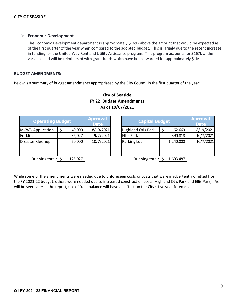#### **Economic Development**

The Economic Development department is approximately \$169k above the amount that would be expected as of the first quarter of the year when compared to the adopted budget. This is largely due to the recent increase in funding for the United Way Rent and Utility Assistance program. This program accounts for \$167k of the variance and will be reimbursed with grant funds which have been awarded for approximately \$1M.

#### **BUDGET AMENDMENTS:**

Below is a summary of budget amendments appropriated by the City Council in the first quarter of the year:

| <b>Operating Budget</b> |  |         | <b>Aprroval</b><br><b>Date</b> |                           | <b>Capital Budget</b> |           |           |  |  |
|-------------------------|--|---------|--------------------------------|---------------------------|-----------------------|-----------|-----------|--|--|
| MCWD Application        |  | 40,000  | 8/19/2021                      | <b>Highland Otis Park</b> |                       | 62,669    | 8/19/2021 |  |  |
| Forklift                |  | 35,027  | 9/2/2021                       | <b>Ellis Park</b>         |                       | 390,818   | 10/7/2021 |  |  |
| Disaster Kleenup        |  | 50,000  | 10/7/2021                      | Parking Lot               |                       | 1,240,000 | 10/7/2021 |  |  |
|                         |  |         |                                |                           |                       |           |           |  |  |
|                         |  |         |                                |                           |                       |           |           |  |  |
| Running total: \$       |  | 125,027 |                                | Running total: \$         |                       | 1,693,487 |           |  |  |

### **City of Seaside FY 22 Budget Amendments As of 10/07/2021**

While some of the amendments were needed due to unforeseen costs or costs that were inadvertently omitted from the FY 2021-22 budget, others were needed due to increased construction costs (Highland Otis Park and Ellis Park). As will be seen later in the report, use of fund balance will have an effect on the City's five year forecast.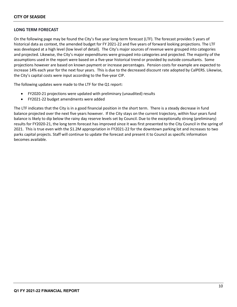#### **LONG TERM FORECAST**

On the following page may be found the City's five year long-term forecast (LTF). The forecast provides 5 years of historical data as context, the amended budget for FY 2021-22 and five years of forward looking projections. The LTF was developed at a high level (low level of detail). The City's major sources of revenue were grouped into categories and projected. Likewise, the City's major expenditures were grouped into categories and projected. The majority of the assumptions used in the report were based on a five-year historical trend or provided by outside consultants. Some projections however are based on known payment or increase percentages. Pension costs for example are expected to increase 14% each year for the next four years. This is due to the decreased discount rate adopted by CalPERS. Likewise, the City's capital costs were input according to the five-year CIP.

The following updates were made to the LTF for the Q1 report:

- FY2020-21 projections were updated with preliminary (unaudited) results
- FY2021-22 budget amendments were added

The LTF indicates that the City is in a good financial position in the short term. There is a steady decrease in fund balance projected over the next five years however. If the City stays on the current trajectory, within four years fund balance is likely to dip below the rainy day reserve levels set by Council. Due to the exceptionally strong (preliminary) results for FY2020-21, the long term forecast has improved since it was first presented to the City Council in the spring of 2021. This is true even with the \$1.2M appropriation in FY2021-22 for the downtown parking lot and increases to two parks capital projects. Staff will continue to update the forecast and present it to Council as specific information becomes available.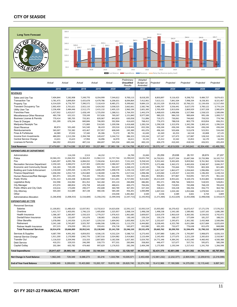#### **CITY OF SEASIDE**

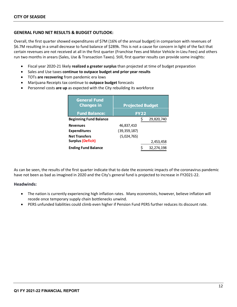#### **GENERAL FUND NET RESULTS & BUDGET OUTLOOK:**

Overall, the first quarter showed expenditures of \$7M (16% of the annual budget) in comparison with revenues of \$6.7M resulting in a small decrease to fund balance of \$289k. This is not a cause for concern in light of the fact that certain revenues are not received at all in the first quarter (Franchise Fees and Motor Vehicle in-Lieu Fees) and others run two months in arears (Sales, Use & Transaction Taxes). Still, first quarter results can provide some insights:

- Fiscal year 2020-21 likely **realized a greater surplus** than projected at time of budget preparation
- Sales and Use taxes **continue to outpace budget and prior year results**
- TOTs **are recovering** from pandemic era lows
- Marijuana Receipts tax continue to **outpace budget** forecasts
- Personnel costs **are up** as expected with the City rebuilding its workforce

| <b>General Fund</b><br><b>Changes in</b> | <b>Projected Budget</b> |             |              |  |  |  |
|------------------------------------------|-------------------------|-------------|--------------|--|--|--|
| <b>Fund Balance:</b>                     |                         | <b>FY22</b> |              |  |  |  |
| <b>Beginning Fund Balance</b>            |                         | \$          | 29,820,740   |  |  |  |
| <b>Revenues</b>                          | 46,837,410              |             |              |  |  |  |
| <b>Expenditures</b>                      | (39, 359, 187)          |             |              |  |  |  |
| <b>Net Transfers</b>                     | (5,024,765)             |             |              |  |  |  |
| <b>Surplus (Deficit)</b>                 |                         |             | 2,453,458    |  |  |  |
| <b>Ending Fund Balance</b>               |                         |             | 32, 274, 198 |  |  |  |

As can be seen, the results of the first quarter indicate that to date the economic impacts of the coronavirus pandemic have not been as bad as imagined in 2020 and the City's general fund is projected to increase in FY2021-22.

#### **Headwinds:**

- The nation is currently experiencing high inflation rates. Many economists, however, believe inflation will recede once temporary supply chain bottlenecks unwind.
- PERS unfunded liabilities could climb even higher if Pension Fund PERS further reduces its discount rate.